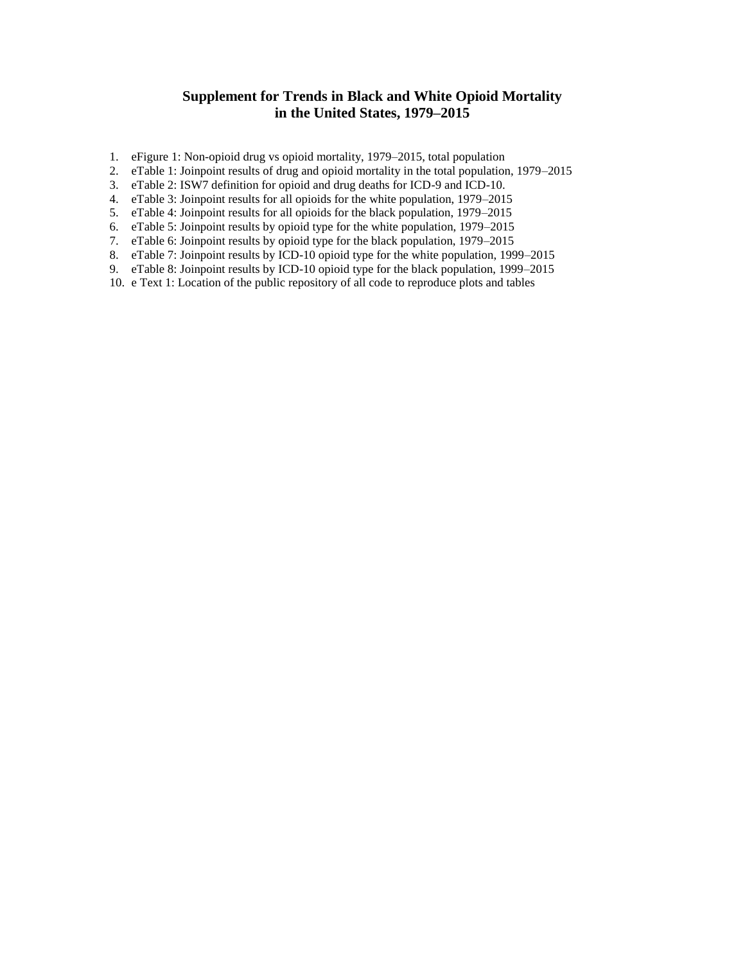# **Supplement for Trends in Black and White Opioid Mortality in the United States, 1979–2015**

- 1. eFigure 1: Non-opioid drug vs opioid mortality, 1979–2015, total population
- 2. eTable 1: Joinpoint results of drug and opioid mortality in the total population, 1979–2015
- 3. eTable 2: ISW7 definition for opioid and drug deaths for ICD-9 and ICD-10.
- 4. eTable 3: Joinpoint results for all opioids for the white population, 1979–2015
- 5. eTable 4: Joinpoint results for all opioids for the black population, 1979–2015
- 6. eTable 5: Joinpoint results by opioid type for the white population, 1979–2015
- 7. eTable 6: Joinpoint results by opioid type for the black population, 1979–2015
- 8. eTable 7: Joinpoint results by ICD-10 opioid type for the white population, 1999–2015
- 9. eTable 8: Joinpoint results by ICD-10 opioid type for the black population, 1999–2015
- 10. e Text 1: Location of the public repository of all code to reproduce plots and tables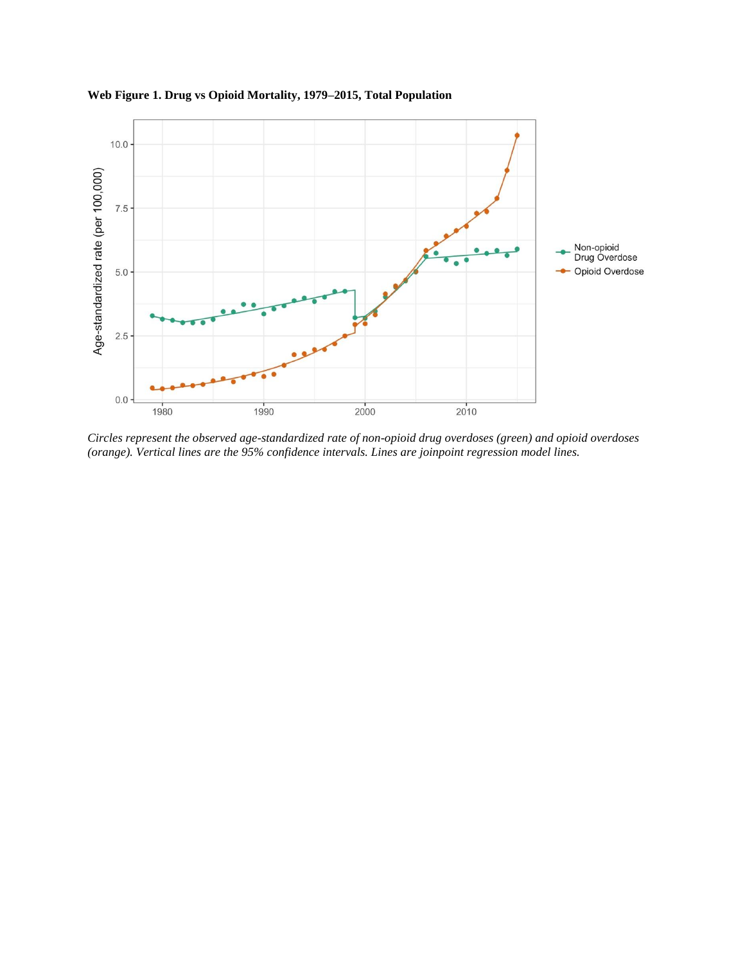

**Web Figure 1. Drug vs Opioid Mortality, 1979–2015, Total Population**

*Circles represent the observed age-standardized rate of non-opioid drug overdoses (green) and opioid overdoses (orange). Vertical lines are the 95% confidence intervals. Lines are joinpoint regression model lines.*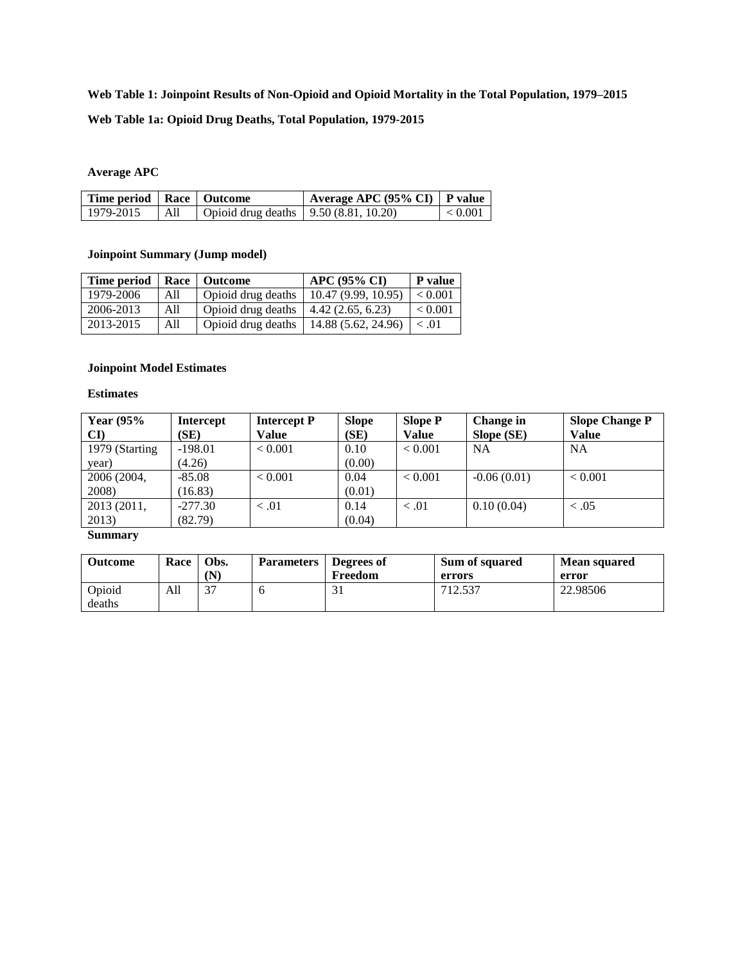### **Web Table 1: Joinpoint Results of Non-Opioid and Opioid Mortality in the Total Population, 1979–2015**

#### **Web Table 1a: Opioid Drug Deaths, Total Population, 1979-2015**

#### **Average APC**

| Time period   Race   Outcome |     |                                           | $\mid$ Average APC (95% CI)   P value |                 |
|------------------------------|-----|-------------------------------------------|---------------------------------------|-----------------|
| 1979-2015                    | All | Opioid drug deaths $  9.50 (8.81, 10.20)$ |                                       | $\vert < 0.001$ |

#### **Joinpoint Summary (Jump model)**

| <b>Time period</b> |     | Race   Outcome     | <b>APC (95% CI)</b> | <b>P</b> value |
|--------------------|-----|--------------------|---------------------|----------------|
| 1979-2006          | All | Opioid drug deaths | 10.47(9.99, 10.95)  | ${}< 0.001$    |
| 2006-2013          | All | Opioid drug deaths | 4.42(2.65, 6.23)    | ${}< 0.001$    |
| 2013-2015          | All | Opioid drug deaths | 14.88 (5.62, 24.96) | $\leq .01$     |

### **Joinpoint Model Estimates**

#### **Estimates**

| Year $(95%$    | <b>Intercept</b> | <b>Intercept P</b> | <b>Slope</b> | <b>Slope P</b> | <b>Change in</b> | <b>Slope Change P</b> |
|----------------|------------------|--------------------|--------------|----------------|------------------|-----------------------|
| CD             | (SE)             | Value              | (SE)         | Value          | Slope (SE)       | <b>Value</b>          |
| 1979 (Starting | $-198.01$        | < 0.001            | 0.10         | < 0.001        | <b>NA</b>        | NA                    |
| year)          | (4.26)           |                    | (0.00)       |                |                  |                       |
| 2006 (2004,    | $-85.08$         | < 0.001            | 0.04         | < 0.001        | $-0.06(0.01)$    | < 0.001               |
| 2008)          | (16.83)          |                    | (0.01)       |                |                  |                       |
| 2013 (2011,    | $-277.30$        | < 0.01             | 0.14         | < 0.01         | 0.10(0.04)       | < 0.05                |
| 2013)          | (82.79)          |                    | (0.04)       |                |                  |                       |

| <b>Outcome</b>   | <b>Race</b> | Obs.<br>(N) | <b>Parameters</b> | Degrees of<br>Freedom | Sum of squared<br>errors | <b>Mean squared</b><br>error |
|------------------|-------------|-------------|-------------------|-----------------------|--------------------------|------------------------------|
| Opioid<br>deaths | All         | 37          |                   |                       | 712.537                  | 22.98506                     |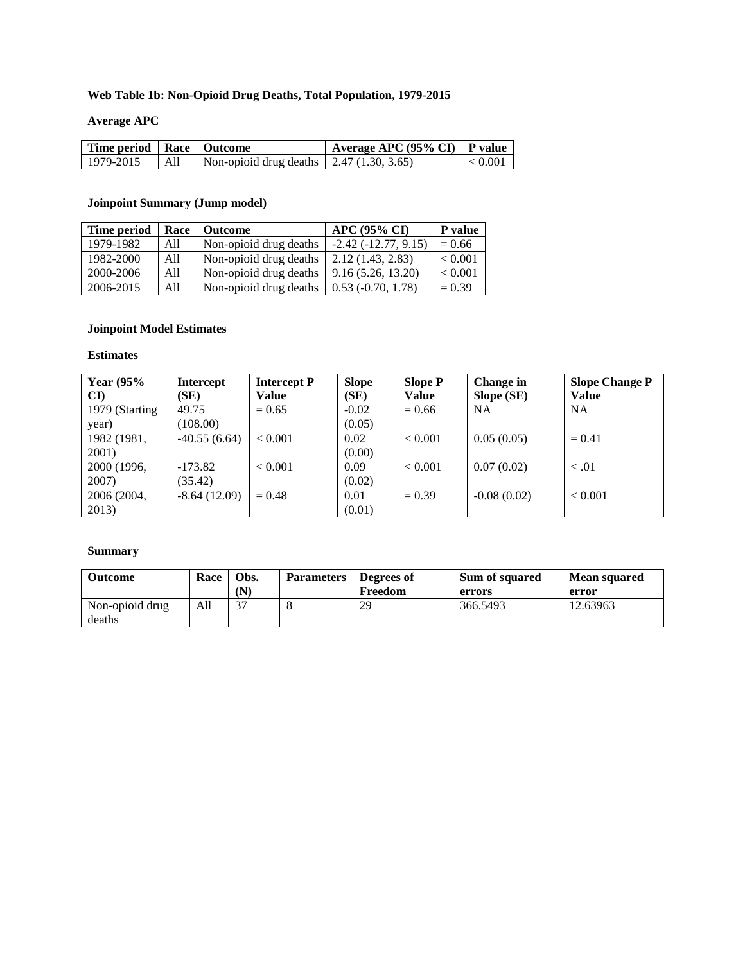### **Web Table 1b: Non-Opioid Drug Deaths, Total Population, 1979-2015**

### **Average APC**

| Time period   Race   Outcome |                 |                                                  | $\mid$ Average APC (95% CI)   P value |         |
|------------------------------|-----------------|--------------------------------------------------|---------------------------------------|---------|
| 1979-2015                    | $\overline{AB}$ | Non-opioid drug deaths $\vert$ 2.47 (1.30, 3.65) |                                       | < 0.001 |

# **Joinpoint Summary (Jump model)**

| Time period | Race | <b>Outcome</b>         | <b>APC (95% CI)</b>      | P value     |
|-------------|------|------------------------|--------------------------|-------------|
| 1979-1982   | All  | Non-opioid drug deaths | $-2.42(-12.77, 9.15)$    | $= 0.66$    |
| 1982-2000   | All  | Non-opioid drug deaths | 2.12(1.43, 2.83)         | ${}< 0.001$ |
| 2000-2006   | All  | Non-opioid drug deaths | 9.16(5.26, 13.20)        | ${}< 0.001$ |
| 2006-2015   | All  | Non-opioid drug deaths | $0.53$ ( $-0.70$ , 1.78) | $= 0.39$    |

### **Joinpoint Model Estimates**

### **Estimates**

| Year $(95%$    | <b>Intercept</b> | <b>Intercept P</b> | <b>Slope</b> | <b>Slope P</b> | Change in     | <b>Slope Change P</b> |
|----------------|------------------|--------------------|--------------|----------------|---------------|-----------------------|
| CI)            | (SE)             | Value              | (SE)         | <b>Value</b>   | Slope (SE)    | <b>Value</b>          |
| 1979 (Starting | 49.75            | $= 0.65$           | $-0.02$      | $= 0.66$       | <b>NA</b>     | <b>NA</b>             |
| year)          | (108.00)         |                    | (0.05)       |                |               |                       |
| 1982 (1981,    | $-40.55(6.64)$   | < 0.001            | 0.02         | ${}< 0.001$    | 0.05(0.05)    | $= 0.41$              |
| 2001)          |                  |                    | (0.00)       |                |               |                       |
| 2000 (1996,    | $-173.82$        | < 0.001            | 0.09         | ${}< 0.001$    | 0.07(0.02)    | < 0.01                |
| 2007)          | (35.42)          |                    | (0.02)       |                |               |                       |
| 2006 (2004,    | $-8.64(12.09)$   | $= 0.48$           | 0.01         | $= 0.39$       | $-0.08(0.02)$ | ${}_{< 0.001}$        |
| 2013)          |                  |                    | (0.01)       |                |               |                       |

| <b>Outcome</b>            | Race | Obs.<br>(N | <b>Parameters</b> | Degrees of<br>Freedom | <b>Sum of squared</b><br>errors | <b>Mean squared</b><br>error |
|---------------------------|------|------------|-------------------|-----------------------|---------------------------------|------------------------------|
| Non-opioid drug<br>deaths | All  | 37         |                   | 29                    | 366.5493                        | 12.63963                     |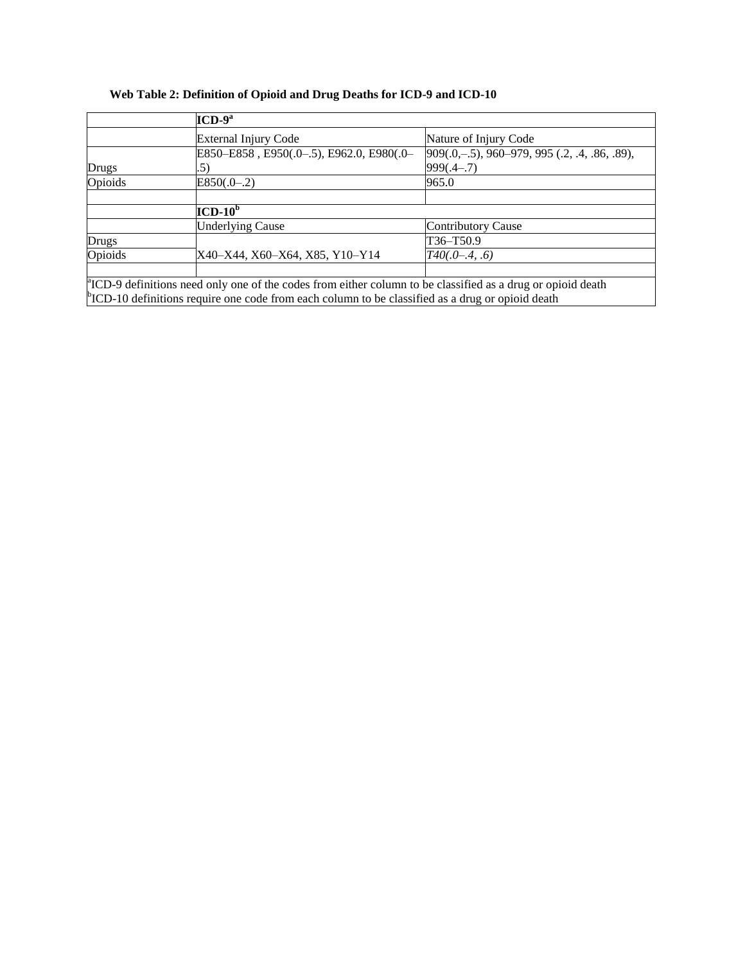### **Web Table 2: Definition of Opioid and Drug Deaths for ICD-9 and ICD-10**

|         | $ICD-9a$                                                                                                                |                                               |
|---------|-------------------------------------------------------------------------------------------------------------------------|-----------------------------------------------|
|         | External Injury Code                                                                                                    | Nature of Injury Code                         |
|         | E850-E858, E950(.0-.5), E962.0, E980(.0-                                                                                | 909(.0,-.5), 960-979, 995 (.2, .4, .86, .89), |
| Drugs   | .5)                                                                                                                     | $999(.4-.7)$                                  |
| Opioids | $E850(.0-.2)$                                                                                                           | 965.0                                         |
|         |                                                                                                                         |                                               |
|         | $ICD-10^b$                                                                                                              |                                               |
|         | <b>Underlying Cause</b>                                                                                                 | <b>Contributory Cause</b>                     |
| Drugs   |                                                                                                                         | T36-T50.9                                     |
| Opioids | X40-X44, X60-X64, X85, Y10-Y14                                                                                          | $T40(.0-.4,.6)$                               |
|         |                                                                                                                         |                                               |
|         | ${}^{\circ}$ ICD-9 definitions need only one of the codes from either column to be classified as a drug or opioid death |                                               |
|         | $\degree$ ICD-10 definitions require one code from each column to be classified as a drug or opioid death               |                                               |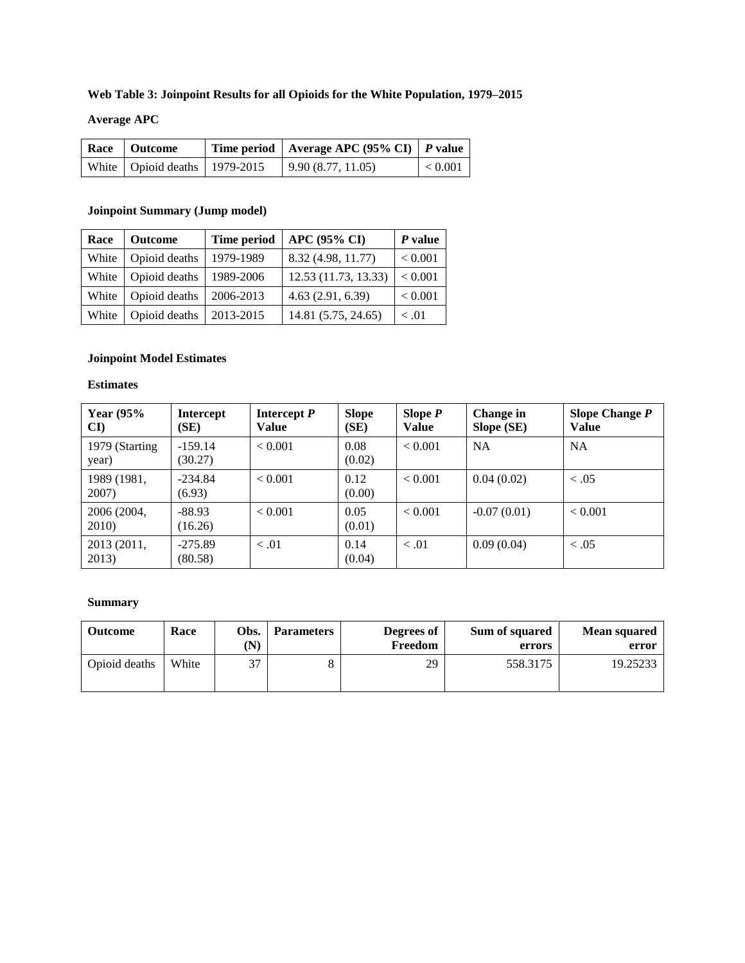### **Web Table 3: Joinpoint Results for all Opioids for the White Population, 1979–2015**

# **Average APC**

| Race   Outcome                    |  | Time period   Average APC (95% CI)   P value |           |
|-----------------------------------|--|----------------------------------------------|-----------|
| White   Opioid deaths   1979-2015 |  | 9.90(8.77, 11.05)                            | $< 0.001$ |

#### **Joinpoint Summary (Jump model)**

| Race  | <b>Outcome</b> | Time period | <b>APC (95% CI)</b>  | $P$ value      |
|-------|----------------|-------------|----------------------|----------------|
| White | Opioid deaths  | 1979-1989   | 8.32 (4.98, 11.77)   | ${}_{< 0.001}$ |
| White | Opioid deaths  | 1989-2006   | 12.53 (11.73, 13.33) | < 0.001        |
| White | Opioid deaths  | 2006-2013   | 4.63(2.91, 6.39)     | < 0.001        |
| White | Opioid deaths  | 2013-2015   | 14.81 (5.75, 24.65)  | $\leq .01$     |

# **Joinpoint Model Estimates**

#### **Estimates**

| <b>Year (95%)</b><br>$\mathbf{C}\mathbf{I}$ | <b>Intercept</b><br>(SE) | Intercept $P$<br>Value | <b>Slope</b><br>(SE) | Slope $P$<br><b>Value</b> | Change in<br>Slope (SE) | Slope Change $P$<br><b>Value</b> |
|---------------------------------------------|--------------------------|------------------------|----------------------|---------------------------|-------------------------|----------------------------------|
| 1979 (Starting<br>year)                     | $-159.14$<br>(30.27)     | < 0.001                | 0.08<br>(0.02)       | < 0.001                   | <b>NA</b>               | <b>NA</b>                        |
| 1989 (1981,<br>2007)                        | $-234.84$<br>(6.93)      | < 0.001                | 0.12<br>(0.00)       | < 0.001                   | 0.04(0.02)              | < 0.05                           |
| 2006 (2004,<br>2010)                        | $-88.93$<br>(16.26)      | < 0.001                | 0.05<br>(0.01)       | < 0.001                   | $-0.07(0.01)$           | < 0.001                          |
| 2013 (2011,<br>2013)                        | $-275.89$<br>(80.58)     | < 0.01                 | 0.14<br>(0.04)       | < 0.01                    | 0.09(0.04)              | < 0.05                           |

| Outcome       | Race  | Obs.<br>(N) | <b>Parameters</b> | Degrees of<br>Freedom | Sum of squared<br>errors | <b>Mean squared</b><br>error |
|---------------|-------|-------------|-------------------|-----------------------|--------------------------|------------------------------|
| Opioid deaths | White | 37          |                   | 29                    | 558.3175                 | 19.25233                     |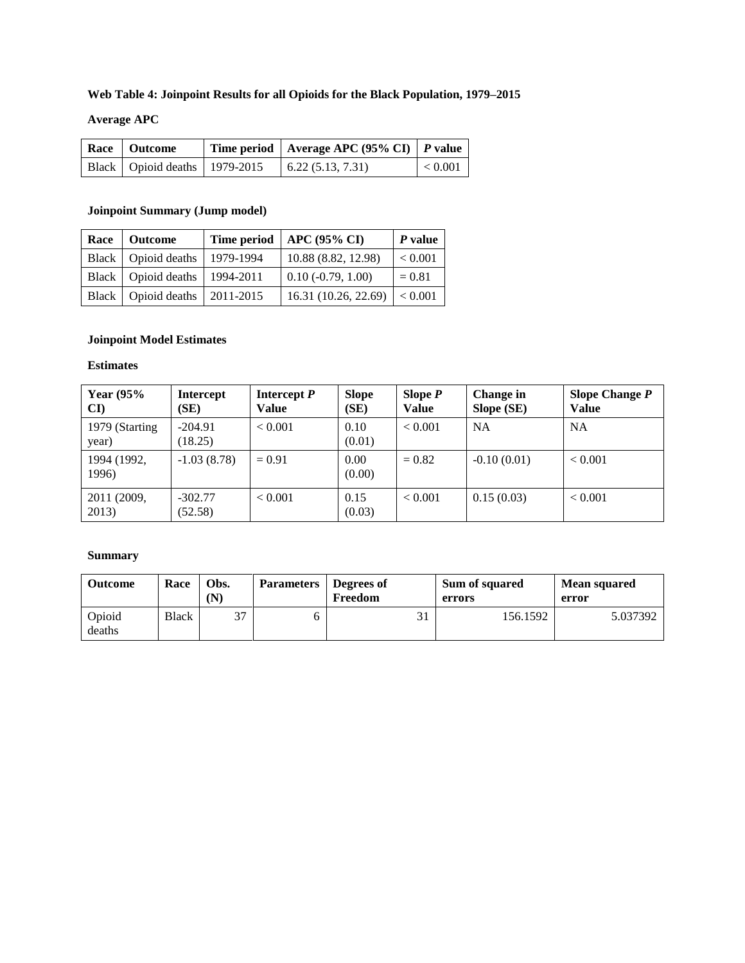### **Web Table 4: Joinpoint Results for all Opioids for the Black Population, 1979–2015**

## **Average APC**

| Race   Outcome                    | Time period   Average APC (95% CI)   P value |         |
|-----------------------------------|----------------------------------------------|---------|
| Black   Opioid deaths   1979-2015 | 6.22(5.13, 7.31)                             | < 0.001 |

#### **Joinpoint Summary (Jump model)**

| Race   Outcome                    |           | Time period   APC $(95\% \text{ CI})$ | $P$ value |
|-----------------------------------|-----------|---------------------------------------|-----------|
| Black   Opioid deaths             | 1979-1994 | 10.88 (8.82, 12.98)                   | < 0.001   |
| Black   Opioid deaths   1994-2011 |           | $0.10(-0.79, 1.00)$                   | $= 0.81$  |
| Black   Opioid deaths   2011-2015 |           | 16.31 (10.26, 22.69) $ $ < 0.001      |           |

# **Joinpoint Model Estimates**

#### **Estimates**

| Year $(95%$<br>CI)      | Intercept<br>(SE)    | Intercept $P$<br>Value | <b>Slope</b><br>(SE) | Slope $P$<br><b>Value</b> | Change in<br>Slope (SE) | Slope Change $P$<br><b>Value</b> |
|-------------------------|----------------------|------------------------|----------------------|---------------------------|-------------------------|----------------------------------|
| 1979 (Starting<br>year) | $-204.91$<br>(18.25) | < 0.001                | 0.10<br>(0.01)       | < 0.001                   | NA                      | <b>NA</b>                        |
| 1994 (1992,<br>1996)    | $-1.03(8.78)$        | $= 0.91$               | 0.00<br>(0.00)       | $= 0.82$                  | $-0.10(0.01)$           | < 0.001                          |
| 2011 (2009,<br>2013)    | $-302.77$<br>(52.58) | < 0.001                | 0.15<br>(0.03)       | < 0.001                   | 0.15(0.03)              | < 0.001                          |

| <b>Outcome</b>   | Race         | Obs.<br>(N) | <b>Parameters</b> Degrees of | Freedom | <b>Sum of squared</b><br>errors | <b>Mean squared</b><br>error |
|------------------|--------------|-------------|------------------------------|---------|---------------------------------|------------------------------|
| Opioid<br>deaths | <b>Black</b> | 37          |                              |         | 156.1592                        | 5.037392                     |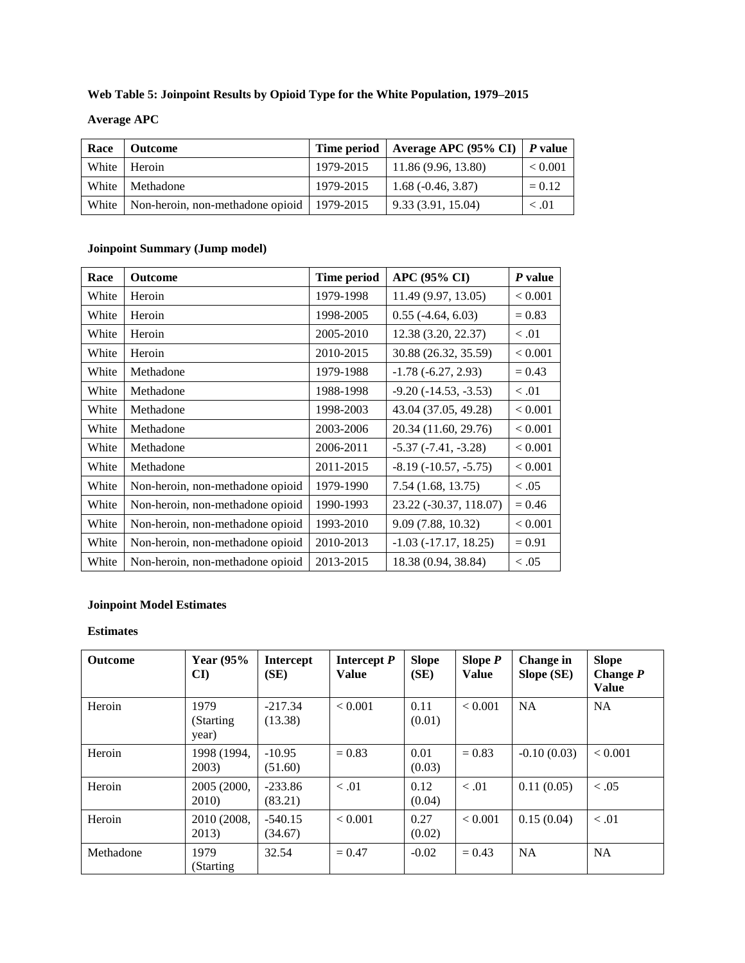### **Web Table 5: Joinpoint Results by Opioid Type for the White Population, 1979–2015**

### **Average APC**

| Race | <b>Outcome</b>                                       |           | Time period   Average APC (95% CI)   P value |                |
|------|------------------------------------------------------|-----------|----------------------------------------------|----------------|
|      | White   Heroin                                       | 1979-2015 | $\mid$ 11.86 (9.96, 13.80)                   | ${}_{< 0.001}$ |
|      | White   Methadone                                    | 1979-2015 | $1.68(-0.46, 3.87)$                          | $= 0.12$       |
|      | White   Non-heroin, non-methadone opioid   1979-2015 |           | 9.33 (3.91, 15.04)                           | < 0.01         |

### **Joinpoint Summary (Jump model)**

| Race  | <b>Outcome</b>                   | Time period | APC (95% CI)              | P value  |
|-------|----------------------------------|-------------|---------------------------|----------|
| White | Heroin                           | 1979-1998   | 11.49 (9.97, 13.05)       | < 0.001  |
| White | Heroin                           | 1998-2005   | $0.55$ (-4.64, 6.03)      | $= 0.83$ |
| White | Heroin                           | 2005-2010   | 12.38 (3.20, 22.37)       | < 0.01   |
| White | Heroin                           | 2010-2015   | 30.88 (26.32, 35.59)      | < 0.001  |
| White | Methadone                        | 1979-1988   | $-1.78(-6.27, 2.93)$      | $= 0.43$ |
| White | Methadone                        | 1988-1998   | $-9.20(-14.53, -3.53)$    | < 0.01   |
| White | Methadone                        | 1998-2003   | 43.04 (37.05, 49.28)      | < 0.001  |
| White | Methadone                        | 2003-2006   | 20.34 (11.60, 29.76)      | < 0.001  |
| White | Methadone                        | 2006-2011   | $-5.37$ $(-7.41, -3.28)$  | < 0.001  |
| White | Methadone                        | 2011-2015   | $-8.19(-10.57, -5.75)$    | < 0.001  |
| White | Non-heroin, non-methadone opioid | 1979-1990   | 7.54(1.68, 13.75)         | < 0.05   |
| White | Non-heroin, non-methadone opioid | 1990-1993   | 23.22 (-30.37, 118.07)    | $= 0.46$ |
| White | Non-heroin, non-methadone opioid | 1993-2010   | 9.09 (7.88, 10.32)        | < 0.001  |
| White | Non-heroin, non-methadone opioid | 2010-2013   | $-1.03$ $(-17.17, 18.25)$ | $= 0.91$ |
| White | Non-heroin, non-methadone opioid | 2013-2015   | 18.38 (0.94, 38.84)       | < 0.05   |

### **Joinpoint Model Estimates**

| <b>Outcome</b> | Year $(95%$<br>$\mathbf{C}\mathbf{I}$ | <b>Intercept</b><br>(SE) | Intercept $P$<br><b>Value</b> | <b>Slope</b><br>(SE) | Slope $P$<br><b>Value</b> | <b>Change</b> in<br>Slope (SE) | <b>Slope</b><br>Change $P$<br><b>Value</b> |
|----------------|---------------------------------------|--------------------------|-------------------------------|----------------------|---------------------------|--------------------------------|--------------------------------------------|
| Heroin         | 1979<br>(Starting)<br>year)           | $-217.34$<br>(13.38)     | < 0.001                       | 0.11<br>(0.01)       | < 0.001                   | <b>NA</b>                      | <b>NA</b>                                  |
| Heroin         | 1998 (1994,<br>2003)                  | $-10.95$<br>(51.60)      | $= 0.83$                      | 0.01<br>(0.03)       | $= 0.83$                  | $-0.10(0.03)$                  | < 0.001                                    |
| Heroin         | 2005 (2000,<br><b>2010</b>            | $-233.86$<br>(83.21)     | < 0.01                        | 0.12<br>(0.04)       | < 0.01                    | 0.11(0.05)                     | < 0.05                                     |
| Heroin         | 2010 (2008,<br>2013)                  | $-540.15$<br>(34.67)     | < 0.001                       | 0.27<br>(0.02)       | < 0.001                   | 0.15(0.04)                     | < 0.01                                     |
| Methadone      | 1979<br>(Starting                     | 32.54                    | $= 0.47$                      | $-0.02$              | $= 0.43$                  | <b>NA</b>                      | <b>NA</b>                                  |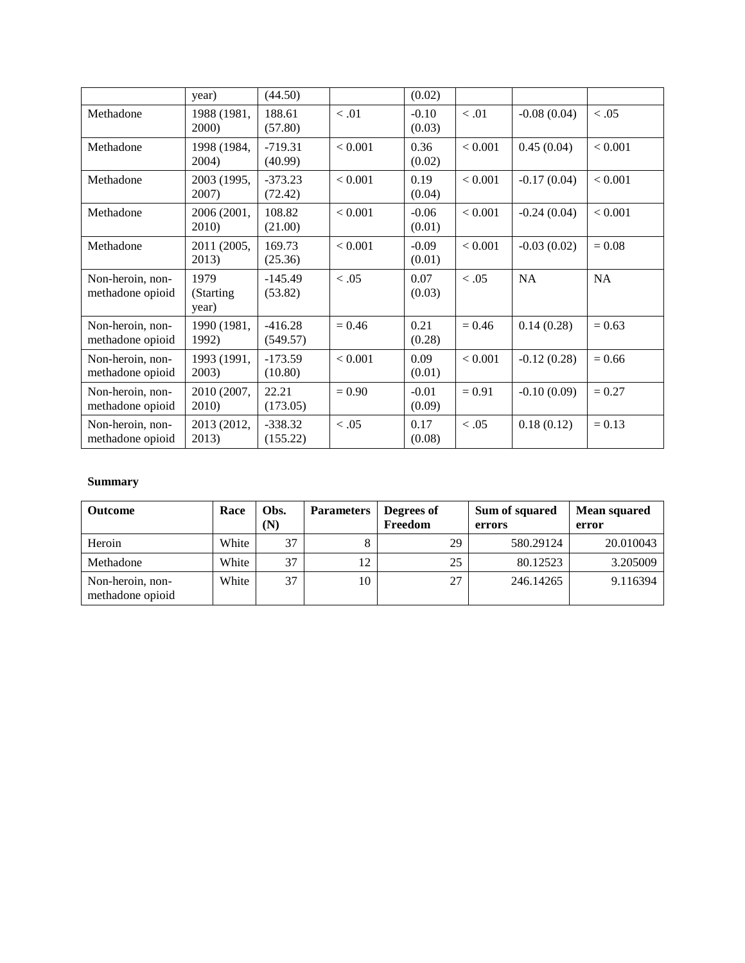|                                      | year)                       | (44.50)               |          | (0.02)            |          |               |           |
|--------------------------------------|-----------------------------|-----------------------|----------|-------------------|----------|---------------|-----------|
| Methadone                            | 1988 (1981,<br>2000)        | 188.61<br>(57.80)     | < 0.01   | $-0.10$<br>(0.03) | < 0.01   | $-0.08(0.04)$ | < 0.05    |
| Methadone                            | 1998 (1984,<br>2004)        | $-719.31$<br>(40.99)  | < 0.001  | 0.36<br>(0.02)    | < 0.001  | 0.45(0.04)    | < 0.001   |
| Methadone                            | 2003 (1995,<br>2007)        | $-373.23$<br>(72.42)  | < 0.001  | 0.19<br>(0.04)    | < 0.001  | $-0.17(0.04)$ | < 0.001   |
| Methadone                            | 2006 (2001,<br>2010)        | 108.82<br>(21.00)     | < 0.001  | $-0.06$<br>(0.01) | < 0.001  | $-0.24(0.04)$ | < 0.001   |
| Methadone                            | 2011 (2005,<br>2013)        | 169.73<br>(25.36)     | < 0.001  | $-0.09$<br>(0.01) | < 0.001  | $-0.03(0.02)$ | $= 0.08$  |
| Non-heroin, non-<br>methadone opioid | 1979<br>(Starting)<br>year) | $-145.49$<br>(53.82)  | < 0.05   | 0.07<br>(0.03)    | < 0.05   | <b>NA</b>     | <b>NA</b> |
| Non-heroin, non-<br>methadone opioid | 1990 (1981,<br>1992)        | $-416.28$<br>(549.57) | $= 0.46$ | 0.21<br>(0.28)    | $= 0.46$ | 0.14(0.28)    | $= 0.63$  |
| Non-heroin, non-<br>methadone opioid | 1993 (1991,<br>2003)        | $-173.59$<br>(10.80)  | < 0.001  | 0.09<br>(0.01)    | < 0.001  | $-0.12(0.28)$ | $= 0.66$  |
| Non-heroin, non-<br>methadone opioid | 2010 (2007,<br>2010)        | 22.21<br>(173.05)     | $= 0.90$ | $-0.01$<br>(0.09) | $= 0.91$ | $-0.10(0.09)$ | $= 0.27$  |
| Non-heroin, non-<br>methadone opioid | 2013 (2012,<br>2013)        | $-338.32$<br>(155.22) | < 0.05   | 0.17<br>(0.08)    | < 0.05   | 0.18(0.12)    | $= 0.13$  |

| <b>Outcome</b>                       | Race  | Obs.<br>(N) | <b>Parameters</b> | Degrees of<br>Freedom | Sum of squared<br>errors | <b>Mean squared</b><br>error |
|--------------------------------------|-------|-------------|-------------------|-----------------------|--------------------------|------------------------------|
| Heroin                               | White | 37          |                   | 29                    | 580.29124                | 20.010043                    |
| Methadone                            | White | 37          | 12                | 25                    | 80.12523                 | 3.205009                     |
| Non-heroin, non-<br>methadone opioid | White | 37          | 10                | 27                    | 246.14265                | 9.116394                     |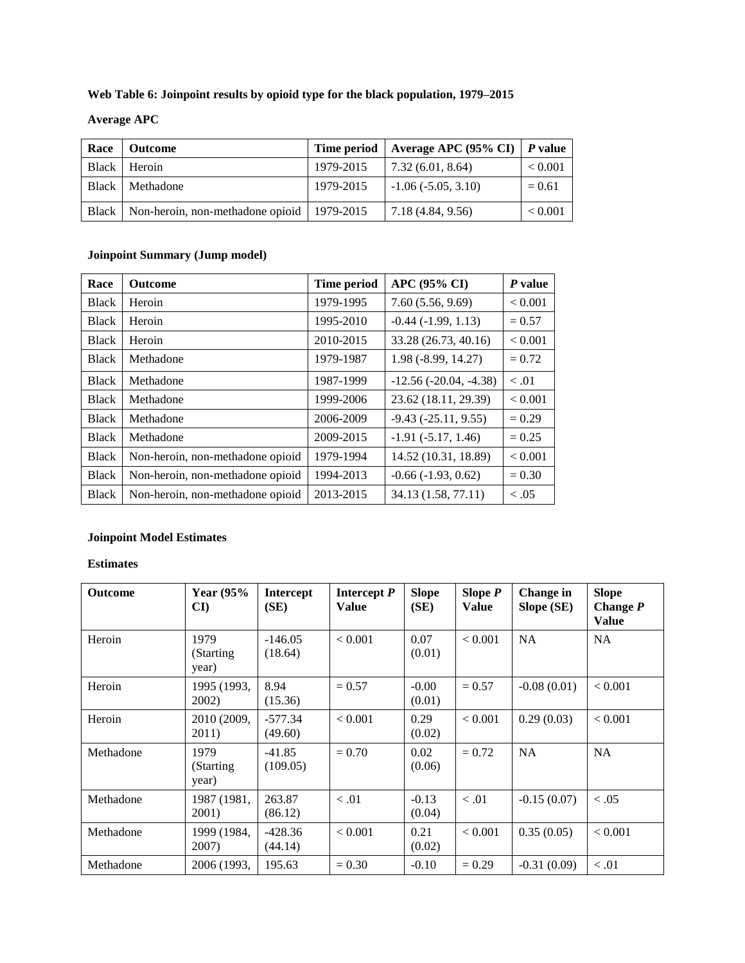### **Web Table 6: Joinpoint results by opioid type for the black population, 1979–2015**

## **Average APC**

| Race | Outcome                                              |           | Time period   Average APC (95% CI)   P value |                |
|------|------------------------------------------------------|-----------|----------------------------------------------|----------------|
|      | Black Heroin                                         | 1979-2015 | 7.32(6.01, 8.64)                             | ${}_{< 0.001}$ |
|      | Black   Methadone                                    | 1979-2015 | $-1.06(-5.05, 3.10)$                         | $= 0.61$       |
|      | Black   Non-heroin, non-methadone opioid   1979-2015 |           | 7.18 (4.84, 9.56)                            | ${}_{< 0.001}$ |

### **Joinpoint Summary (Jump model)**

| Race         | <b>Outcome</b>                   | <b>Time period</b> | <b>APC (95% CI)</b>      | P value  |
|--------------|----------------------------------|--------------------|--------------------------|----------|
| <b>Black</b> | Heroin                           | 1979-1995          | 7.60(5.56, 9.69)         | < 0.001  |
| <b>Black</b> | Heroin                           | 1995-2010          | $-0.44$ $(-1.99, 1.13)$  | $= 0.57$ |
| <b>Black</b> | Heroin                           | 2010-2015          | 33.28 (26.73, 40.16)     | < 0.001  |
| <b>Black</b> | Methadone                        | 1979-1987          | 1.98 (-8.99, 14.27)      | $= 0.72$ |
| <b>Black</b> | Methadone                        | 1987-1999          | $-12.56(-20.04, -4.38)$  | < 0.01   |
| <b>Black</b> | Methadone                        | 1999-2006          | 23.62 (18.11, 29.39)     | < 0.001  |
| <b>Black</b> | Methadone                        | 2006-2009          | $-9.43$ $(-25.11, 9.55)$ | $= 0.29$ |
| <b>Black</b> | Methadone                        | 2009-2015          | $-1.91(-5.17, 1.46)$     | $= 0.25$ |
| <b>Black</b> | Non-heroin, non-methadone opioid | 1979-1994          | 14.52 (10.31, 18.89)     | < 0.001  |
| <b>Black</b> | Non-heroin, non-methadone opioid | 1994-2013          | $-0.66$ $(-1.93, 0.62)$  | $= 0.30$ |
| <b>Black</b> | Non-heroin, non-methadone opioid | 2013-2015          | 34.13 (1.58, 77.11)      | < .05    |

#### **Joinpoint Model Estimates**

| Outcome   | Year $(95%$<br>CI)          | <b>Intercept</b><br>(SE) | Intercept $P$<br>Value | <b>Slope</b><br>(SE) | Slope $P$<br><b>Value</b> | Change in<br>Slope (SE) | <b>Slope</b><br>Change $P$<br><b>Value</b> |
|-----------|-----------------------------|--------------------------|------------------------|----------------------|---------------------------|-------------------------|--------------------------------------------|
| Heroin    | 1979<br>(Starting)<br>year) | $-146.05$<br>(18.64)     | < 0.001                | 0.07<br>(0.01)       | < 0.001                   | <b>NA</b>               | <b>NA</b>                                  |
| Heroin    | 1995 (1993,<br>2002)        | 8.94<br>(15.36)          | $= 0.57$               | $-0.00$<br>(0.01)    | $= 0.57$                  | $-0.08(0.01)$           | < 0.001                                    |
| Heroin    | 2010 (2009,<br>2011)        | $-577.34$<br>(49.60)     | < 0.001                | 0.29<br>(0.02)       | < 0.001                   | 0.29(0.03)              | < 0.001                                    |
| Methadone | 1979<br>(Starting)<br>year) | $-41.85$<br>(109.05)     | $= 0.70$               | 0.02<br>(0.06)       | $= 0.72$                  | <b>NA</b>               | <b>NA</b>                                  |
| Methadone | 1987 (1981,<br>2001)        | 263.87<br>(86.12)        | < 0.01                 | $-0.13$<br>(0.04)    | < 0.01                    | $-0.15(0.07)$           | < 0.05                                     |
| Methadone | 1999 (1984,<br>2007)        | $-428.36$<br>(44.14)     | < 0.001                | 0.21<br>(0.02)       | < 0.001                   | 0.35(0.05)              | < 0.001                                    |
| Methadone | 2006 (1993,                 | 195.63                   | $= 0.30$               | $-0.10$              | $= 0.29$                  | $-0.31(0.09)$           | < 0.01                                     |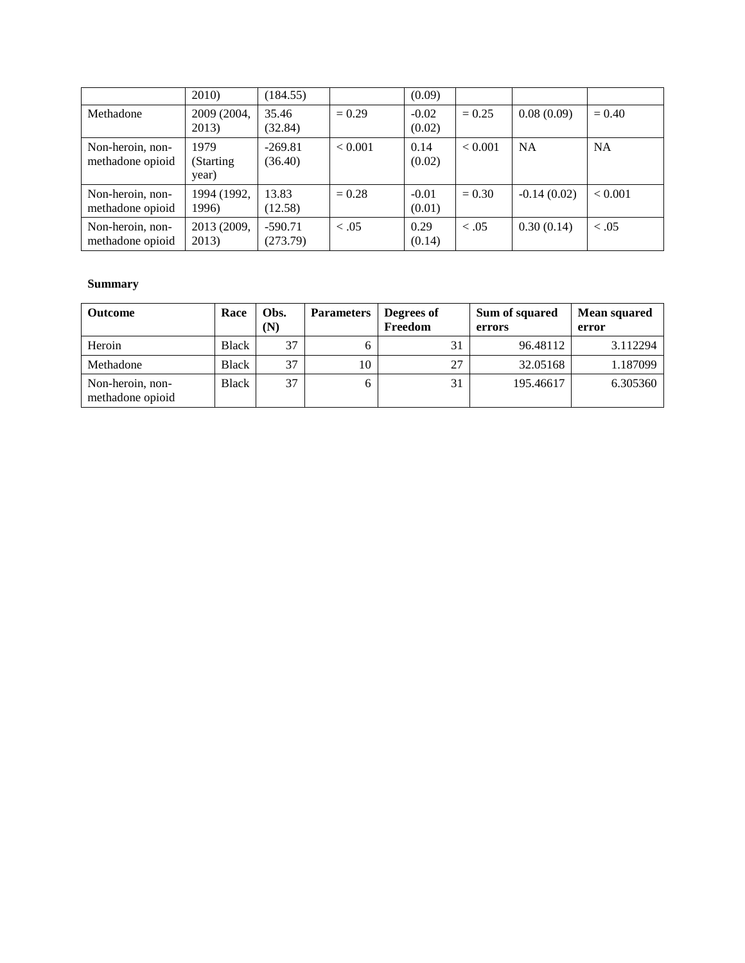|                                      | 2010)                       | (184.55)              |          | (0.09)            |          |               |           |
|--------------------------------------|-----------------------------|-----------------------|----------|-------------------|----------|---------------|-----------|
| Methadone                            | 2009 (2004,<br>2013)        | 35.46<br>(32.84)      | $= 0.29$ | $-0.02$<br>(0.02) | $= 0.25$ | 0.08(0.09)    | $= 0.40$  |
| Non-heroin, non-<br>methadone opioid | 1979<br>(Starting)<br>year) | $-269.81$<br>(36.40)  | < 0.001  | 0.14<br>(0.02)    | < 0.001  | <b>NA</b>     | <b>NA</b> |
| Non-heroin, non-<br>methadone opioid | 1994 (1992,<br>1996)        | 13.83<br>(12.58)      | $= 0.28$ | $-0.01$<br>(0.01) | $= 0.30$ | $-0.14(0.02)$ | < 0.001   |
| Non-heroin, non-<br>methadone opioid | 2013 (2009,<br>2013)        | $-590.71$<br>(273.79) | $-.05$   | 0.29<br>(0.14)    | < .05    | 0.30(0.14)    | < 0.05    |

| <b>Outcome</b>                       | Race         | Obs.<br>(N) | <b>Parameters</b> | Degrees of<br>Freedom | Sum of squared<br>errors | <b>Mean squared</b><br>error |
|--------------------------------------|--------------|-------------|-------------------|-----------------------|--------------------------|------------------------------|
| Heroin                               | Black        | 37          |                   | 31                    | 96.48112                 | 3.112294                     |
| Methadone                            | <b>Black</b> | 37          | 10                | 27                    | 32.05168                 | 1.187099                     |
| Non-heroin, non-<br>methadone opioid | Black        | 37          |                   | 31                    | 195.46617                | 6.305360                     |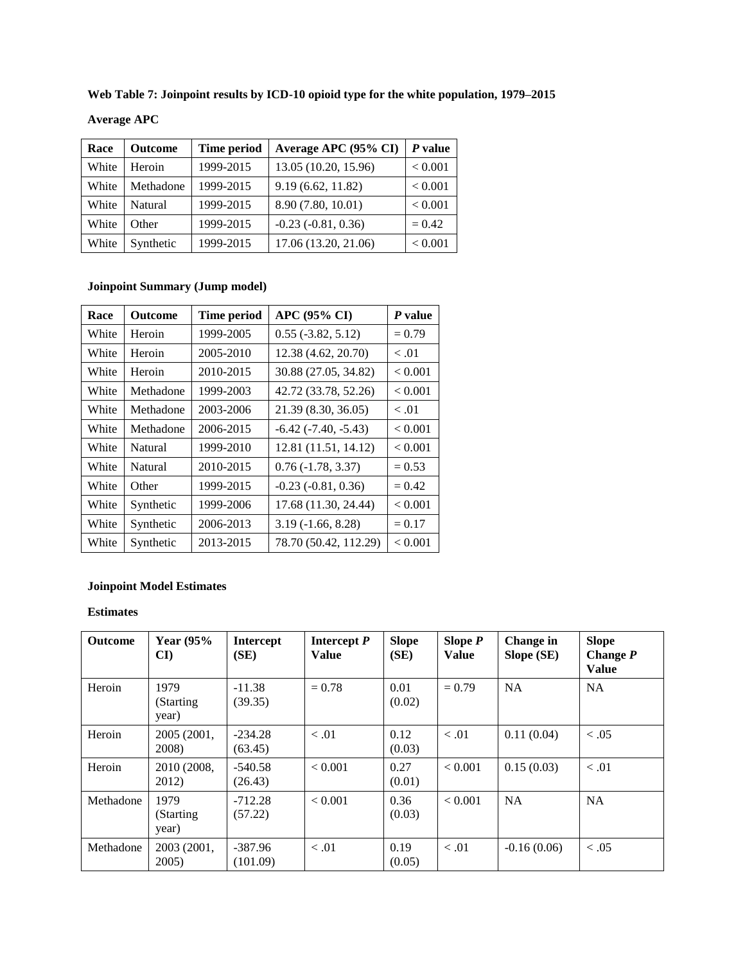**Web Table 7: Joinpoint results by ICD-10 opioid type for the white population, 1979–2015**

| <b>Average APC</b> |  |
|--------------------|--|
|--------------------|--|

| Race  | <b>Outcome</b> | Time period | Average APC (95% CI)    | $P$ value |
|-------|----------------|-------------|-------------------------|-----------|
| White | Heroin         | 1999-2015   | 13.05 (10.20, 15.96)    | < 0.001   |
| White | Methadone      | 1999-2015   | 9.19(6.62, 11.82)       | < 0.001   |
| White | Natural        | 1999-2015   | 8.90 (7.80, 10.01)      | < 0.001   |
| White | Other          | 1999-2015   | $-0.23$ $(-0.81, 0.36)$ | $= 0.42$  |
| White | Synthetic      | 1999-2015   | 17.06 (13.20, 21.06)    | < 0.001   |

## **Joinpoint Summary (Jump model)**

| Race  | Outcome   | <b>Time period</b> | APC (95% CI)                | P value  |
|-------|-----------|--------------------|-----------------------------|----------|
| White | Heroin    | 1999-2005          | $0.55$ ( $-3.82$ , $5.12$ ) | $= 0.79$ |
| White | Heroin    | 2005-2010          | 12.38 (4.62, 20.70)         | < 0.01   |
| White | Heroin    | 2010-2015          | 30.88 (27.05, 34.82)        | < 0.001  |
| White | Methadone | 1999-2003          | 42.72 (33.78, 52.26)        | < 0.001  |
| White | Methadone | 2003-2006          | 21.39 (8.30, 36.05)         | < 0.01   |
| White | Methadone | 2006-2015          | $-6.42$ $(-7.40, -5.43)$    | < 0.001  |
| White | Natural   | 1999-2010          | 12.81 (11.51, 14.12)        | < 0.001  |
| White | Natural   | 2010-2015          | $0.76(-1.78, 3.37)$         | $= 0.53$ |
| White | Other     | 1999-2015          | $-0.23$ $(-0.81, 0.36)$     | $= 0.42$ |
| White | Synthetic | 1999-2006          | 17.68 (11.30, 24.44)        | < 0.001  |
| White | Synthetic | 2006-2013          | $3.19(-1.66, 8.28)$         | $= 0.17$ |
| White | Synthetic | 2013-2015          | 78.70 (50.42, 112.29)       | < 0.001  |

# **Joinpoint Model Estimates**

| <b>Outcome</b> | <b>Year (95%)</b><br>$\mathbf{C}$ I | <b>Intercept</b><br>(SE) | Intercept $P$<br>Value | <b>Slope</b><br>(SE) | Slope $P$<br>Value | Change in<br>Slope (SE) | <b>Slope</b><br>Change $P$<br><b>Value</b> |
|----------------|-------------------------------------|--------------------------|------------------------|----------------------|--------------------|-------------------------|--------------------------------------------|
| Heroin         | 1979<br>(Starting)<br>year)         | $-11.38$<br>(39.35)      | $= 0.78$               | 0.01<br>(0.02)       | $= 0.79$           | <b>NA</b>               | <b>NA</b>                                  |
| Heroin         | 2005 (2001,<br>2008)                | $-234.28$<br>(63.45)     | < 0.01                 | 0.12<br>(0.03)       | < 0.01             | 0.11(0.04)              | < 0.05                                     |
| Heroin         | 2010 (2008,<br>2012)                | $-540.58$<br>(26.43)     | ${}_{< 0.001}$         | 0.27<br>(0.01)       | < 0.001            | 0.15(0.03)              | < 0.01                                     |
| Methadone      | 1979<br>(Starting)<br>year)         | $-712.28$<br>(57.22)     | < 0.001                | 0.36<br>(0.03)       | < 0.001            | <b>NA</b>               | <b>NA</b>                                  |
| Methadone      | 2003 (2001,<br>$2005$ )             | $-387.96$<br>(101.09)    | < 0.01                 | 0.19<br>(0.05)       | < 0.01             | $-0.16(0.06)$           | < 0.05                                     |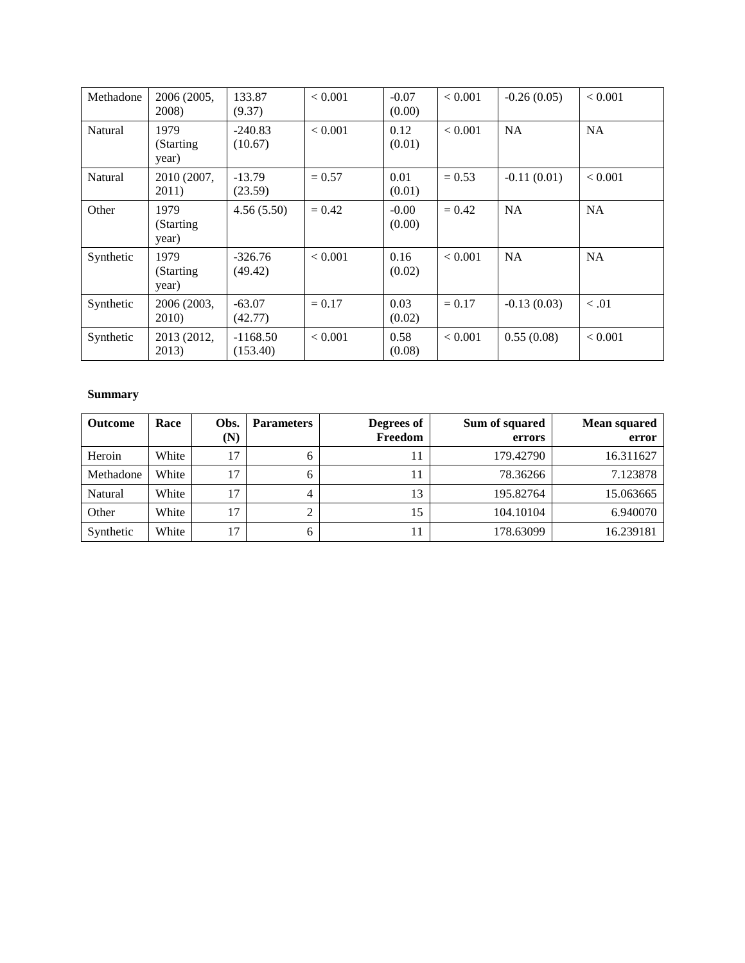| Methadone | 2006 (2005,<br>2008)        | 133.87<br>(9.37)       | < 0.001  | $-0.07$<br>(0.00) | < 0.001  | $-0.26(0.05)$ | < 0.001   |
|-----------|-----------------------------|------------------------|----------|-------------------|----------|---------------|-----------|
| Natural   | 1979<br>(Starting)<br>year) | $-240.83$<br>(10.67)   | < 0.001  | 0.12<br>(0.01)    | < 0.001  | <b>NA</b>     | <b>NA</b> |
| Natural   | 2010 (2007,<br>2011)        | $-13.79$<br>(23.59)    | $= 0.57$ | 0.01<br>(0.01)    | $= 0.53$ | $-0.11(0.01)$ | < 0.001   |
| Other     | 1979<br>(Starting)<br>year) | 4.56(5.50)             | $= 0.42$ | $-0.00$<br>(0.00) | $= 0.42$ | <b>NA</b>     | <b>NA</b> |
| Synthetic | 1979<br>(Starting)<br>year) | $-326.76$<br>(49.42)   | < 0.001  | 0.16<br>(0.02)    | < 0.001  | <b>NA</b>     | <b>NA</b> |
| Synthetic | 2006 (2003,<br>2010)        | $-63.07$<br>(42.77)    | $= 0.17$ | 0.03<br>(0.02)    | $= 0.17$ | $-0.13(0.03)$ | < 0.01    |
| Synthetic | 2013 (2012,<br>2013)        | $-1168.50$<br>(153.40) | < 0.001  | 0.58<br>(0.08)    | < 0.001  | 0.55(0.08)    | < 0.001   |

| <b>Outcome</b> | Race  | Obs.<br>(N) | <b>Parameters</b> | Degrees of<br>Freedom | Sum of squared<br>errors | <b>Mean squared</b><br>error |
|----------------|-------|-------------|-------------------|-----------------------|--------------------------|------------------------------|
| Heroin         | White | 17          | <sub>6</sub>      |                       | 179.42790                | 16.311627                    |
| Methadone      | White | 17          | <sub>6</sub>      |                       | 78.36266                 | 7.123878                     |
| Natural        | White | 17          | 4                 | 13                    | 195.82764                | 15.063665                    |
| Other          | White | 17          |                   | 15                    | 104.10104                | 6.940070                     |
| Synthetic      | White | 17          |                   |                       | 178.63099                | 16.239181                    |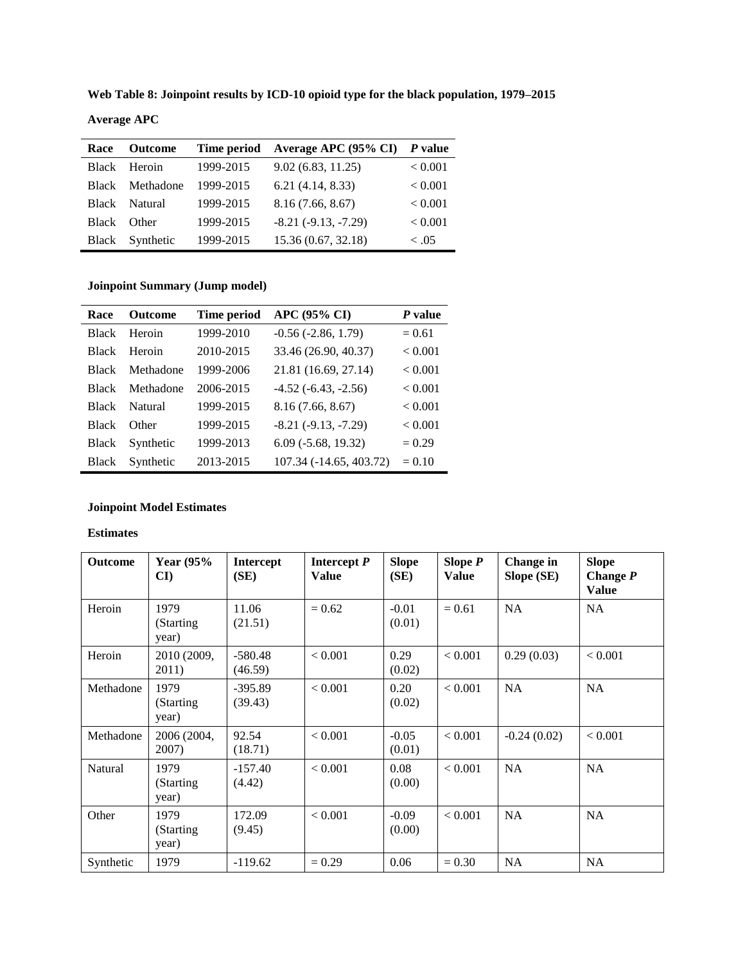**Web Table 8: Joinpoint results by ICD-10 opioid type for the black population, 1979–2015**

| <b>Average APC</b> |  |
|--------------------|--|
|--------------------|--|

| Race  | <b>Outcome</b>  | Time period | Average APC (95% CI)     | P value |
|-------|-----------------|-------------|--------------------------|---------|
|       | Black Heroin    | 1999-2015   | 9.02(6.83, 11.25)        | < 0.001 |
|       | Black Methadone | 1999-2015   | 6.21(4.14, 8.33)         | < 0.001 |
|       | Black Natural   | 1999-2015   | 8.16(7.66, 8.67)         | < 0.001 |
| Black | <b>Other</b>    | 1999-2015   | $-8.21$ $(-9.13, -7.29)$ | < 0.001 |
| Black | Synthetic       | 1999-2015   | 15.36 (0.67, 32.18)      | ~<~0.5  |

# **Joinpoint Summary (Jump model)**

| Race         | <b>Outcome</b> | <b>Time period</b> | <b>APC (95% CI)</b>       | P value  |
|--------------|----------------|--------------------|---------------------------|----------|
| <b>Black</b> | Heroin         | 1999-2010          | $-0.56$ $(-2.86, 1.79)$   | $= 0.61$ |
| <b>Black</b> | Heroin         | 2010-2015          | 33.46 (26.90, 40.37)      | < 0.001  |
| <b>Black</b> | Methadone      | 1999-2006          | 21.81 (16.69, 27.14)      | < 0.001  |
| <b>Black</b> | Methadone      | 2006-2015          | $-4.52$ $(-6.43, -2.56)$  | < 0.001  |
| <b>Black</b> | Natural        | 1999-2015          | 8.16(7.66, 8.67)          | < 0.001  |
| <b>Black</b> | <b>Other</b>   | 1999-2015          | $-8.21$ $(-9.13, -7.29)$  | < 0.001  |
| <b>Black</b> | Synthetic      | 1999-2013          | $6.09$ ( $-5.68$ , 19.32) | $= 0.29$ |
| <b>Black</b> | Synthetic      | 2013-2015          | 107.34 (-14.65, 403.72)   | $= 0.10$ |

#### **Joinpoint Model Estimates**

| <b>Outcome</b> | <b>Year (95%)</b><br>CI)    | <b>Intercept</b><br>(SE) | Intercept $P$<br><b>Value</b> | <b>Slope</b><br>(SE) | Slope $P$<br><b>Value</b> | Change in<br>Slope (SE) | <b>Slope</b><br>Change $P$<br><b>Value</b> |
|----------------|-----------------------------|--------------------------|-------------------------------|----------------------|---------------------------|-------------------------|--------------------------------------------|
| Heroin         | 1979<br>(Starting)<br>year) | 11.06<br>(21.51)         | $= 0.62$                      | $-0.01$<br>(0.01)    | $= 0.61$                  | <b>NA</b>               | <b>NA</b>                                  |
| Heroin         | 2010 (2009,<br>2011)        | $-580.48$<br>(46.59)     | < 0.001                       | 0.29<br>(0.02)       | < 0.001                   | 0.29(0.03)              | < 0.001                                    |
| Methadone      | 1979<br>(Starting)<br>year) | $-395.89$<br>(39.43)     | < 0.001                       | 0.20<br>(0.02)       | < 0.001                   | NA                      | <b>NA</b>                                  |
| Methadone      | 2006 (2004,<br>2007)        | 92.54<br>(18.71)         | < 0.001                       | $-0.05$<br>(0.01)    | < 0.001                   | $-0.24(0.02)$           | < 0.001                                    |
| Natural        | 1979<br>(Starting)<br>year) | $-157.40$<br>(4.42)      | < 0.001                       | 0.08<br>(0.00)       | < 0.001                   | <b>NA</b>               | <b>NA</b>                                  |
| Other          | 1979<br>(Starting)<br>year) | 172.09<br>(9.45)         | < 0.001                       | $-0.09$<br>(0.00)    | < 0.001                   | <b>NA</b>               | <b>NA</b>                                  |
| Synthetic      | 1979                        | $-119.62$                | $= 0.29$                      | 0.06                 | $= 0.30$                  | <b>NA</b>               | <b>NA</b>                                  |